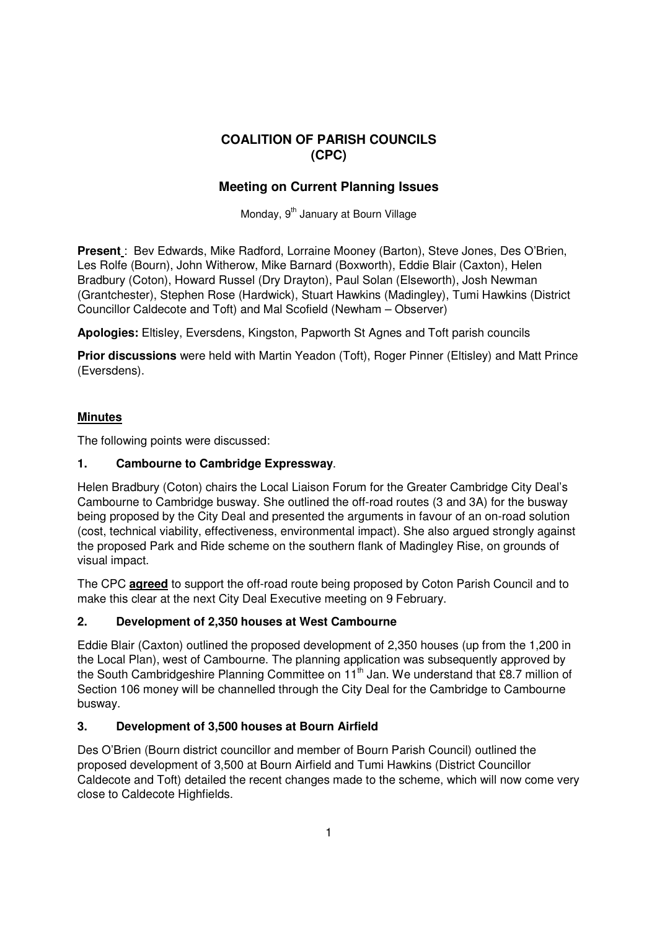# **COALITION OF PARISH COUNCILS (CPC)**

# **Meeting on Current Planning Issues**

Monday, 9<sup>th</sup> January at Bourn Village

**Present** : Bev Edwards, Mike Radford, Lorraine Mooney (Barton), Steve Jones, Des O'Brien, Les Rolfe (Bourn), John Witherow, Mike Barnard (Boxworth), Eddie Blair (Caxton), Helen Bradbury (Coton), Howard Russel (Dry Drayton), Paul Solan (Elseworth), Josh Newman (Grantchester), Stephen Rose (Hardwick), Stuart Hawkins (Madingley), Tumi Hawkins (District Councillor Caldecote and Toft) and Mal Scofield (Newham – Observer)

**Apologies:** Eltisley, Eversdens, Kingston, Papworth St Agnes and Toft parish councils

**Prior discussions** were held with Martin Yeadon (Toft), Roger Pinner (Eltisley) and Matt Prince (Eversdens).

## **Minutes**

The following points were discussed:

# **1. Cambourne to Cambridge Expressway**.

Helen Bradbury (Coton) chairs the Local Liaison Forum for the Greater Cambridge City Deal's Cambourne to Cambridge busway. She outlined the off-road routes (3 and 3A) for the busway being proposed by the City Deal and presented the arguments in favour of an on-road solution (cost, technical viability, effectiveness, environmental impact). She also argued strongly against the proposed Park and Ride scheme on the southern flank of Madingley Rise, on grounds of visual impact.

The CPC **agreed** to support the off-road route being proposed by Coton Parish Council and to make this clear at the next City Deal Executive meeting on 9 February.

## **2. Development of 2,350 houses at West Cambourne**

Eddie Blair (Caxton) outlined the proposed development of 2,350 houses (up from the 1,200 in the Local Plan), west of Cambourne. The planning application was subsequently approved by the South Cambridgeshire Planning Committee on  $11<sup>th</sup>$  Jan. We understand that £8.7 million of Section 106 money will be channelled through the City Deal for the Cambridge to Cambourne busway.

## **3. Development of 3,500 houses at Bourn Airfield**

Des O'Brien (Bourn district councillor and member of Bourn Parish Council) outlined the proposed development of 3,500 at Bourn Airfield and Tumi Hawkins (District Councillor Caldecote and Toft) detailed the recent changes made to the scheme, which will now come very close to Caldecote Highfields.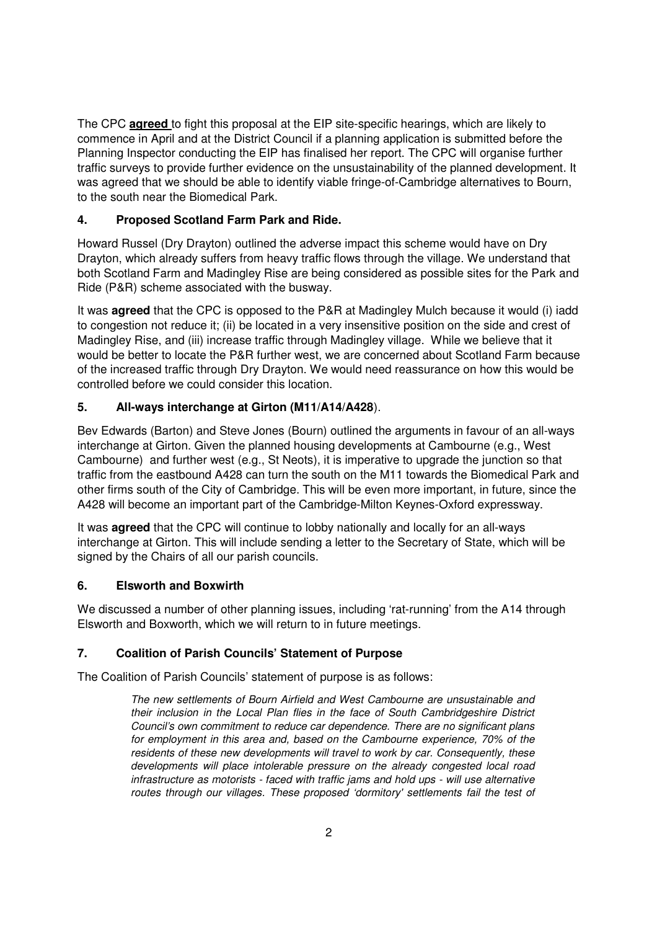The CPC **agreed** to fight this proposal at the EIP site-specific hearings, which are likely to commence in April and at the District Council if a planning application is submitted before the Planning Inspector conducting the EIP has finalised her report. The CPC will organise further traffic surveys to provide further evidence on the unsustainability of the planned development. It was agreed that we should be able to identify viable fringe-of-Cambridge alternatives to Bourn, to the south near the Biomedical Park.

# **4. Proposed Scotland Farm Park and Ride.**

Howard Russel (Dry Drayton) outlined the adverse impact this scheme would have on Dry Drayton, which already suffers from heavy traffic flows through the village. We understand that both Scotland Farm and Madingley Rise are being considered as possible sites for the Park and Ride (P&R) scheme associated with the busway.

It was **agreed** that the CPC is opposed to the P&R at Madingley Mulch because it would (i) iadd to congestion not reduce it; (ii) be located in a very insensitive position on the side and crest of Madingley Rise, and (iii) increase traffic through Madingley village. While we believe that it would be better to locate the P&R further west, we are concerned about Scotland Farm because of the increased traffic through Dry Drayton. We would need reassurance on how this would be controlled before we could consider this location.

# **5. All-ways interchange at Girton (M11/A14/A428**).

Bev Edwards (Barton) and Steve Jones (Bourn) outlined the arguments in favour of an all-ways interchange at Girton. Given the planned housing developments at Cambourne (e.g., West Cambourne) and further west (e.g., St Neots), it is imperative to upgrade the junction so that traffic from the eastbound A428 can turn the south on the M11 towards the Biomedical Park and other firms south of the City of Cambridge. This will be even more important, in future, since the A428 will become an important part of the Cambridge-Milton Keynes-Oxford expressway.

It was **agreed** that the CPC will continue to lobby nationally and locally for an all-ways interchange at Girton. This will include sending a letter to the Secretary of State, which will be signed by the Chairs of all our parish councils.

## **6. Elsworth and Boxwirth**

We discussed a number of other planning issues, including 'rat-running' from the A14 through Elsworth and Boxworth, which we will return to in future meetings.

## **7. Coalition of Parish Councils' Statement of Purpose**

The Coalition of Parish Councils' statement of purpose is as follows:

*The new settlements of Bourn Airfield and West Cambourne are unsustainable and their inclusion in the Local Plan flies in the face of South Cambridgeshire District Council's own commitment to reduce car dependence. There are no significant plans for employment in this area and, based on the Cambourne experience, 70% of the residents of these new developments will travel to work by car. Consequently, these developments will place intolerable pressure on the already congested local road infrastructure as motorists - faced with traffic jams and hold ups - will use alternative routes through our villages. These proposed 'dormitory' settlements fail the test of*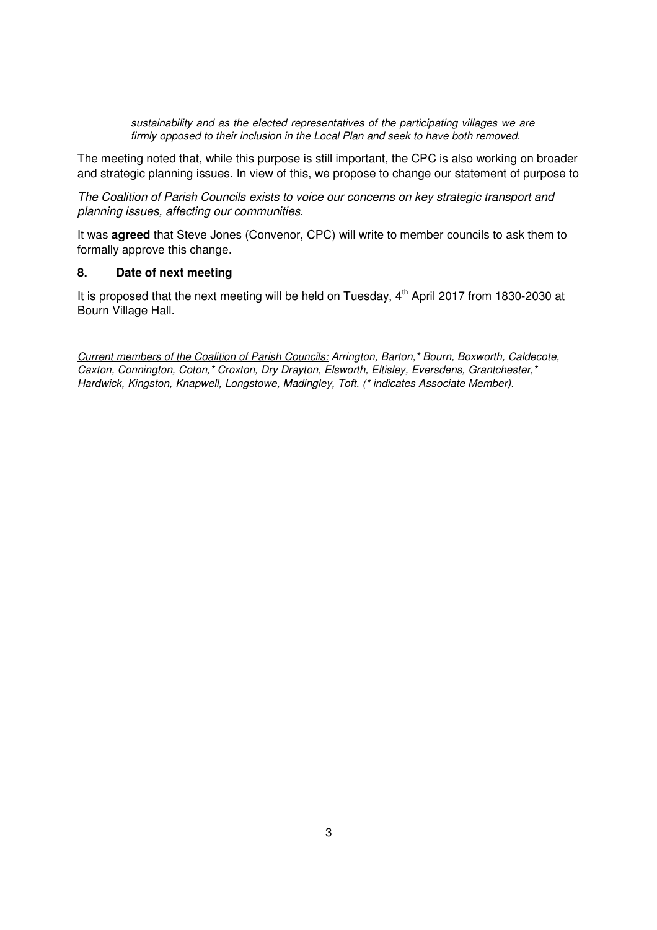*sustainability and as the elected representatives of the participating villages we are firmly opposed to their inclusion in the Local Plan and seek to have both removed.* 

The meeting noted that, while this purpose is still important, the CPC is also working on broader and strategic planning issues. In view of this, we propose to change our statement of purpose to

*The Coalition of Parish Councils exists to voice our concerns on key strategic transport and planning issues, affecting our communities.* 

It was **agreed** that Steve Jones (Convenor, CPC) will write to member councils to ask them to formally approve this change.

#### **8. Date of next meeting**

It is proposed that the next meeting will be held on Tuesday,  $4<sup>th</sup>$  April 2017 from 1830-2030 at Bourn Village Hall.

*Current members of the Coalition of Parish Councils: Arrington, Barton,\* Bourn, Boxworth, Caldecote, Caxton, Connington, Coton,\* Croxton, Dry Drayton, Elsworth, Eltisley, Eversdens, Grantchester,\* Hardwick, Kingston, Knapwell, Longstowe, Madingley, Toft. (\* indicates Associate Member).*